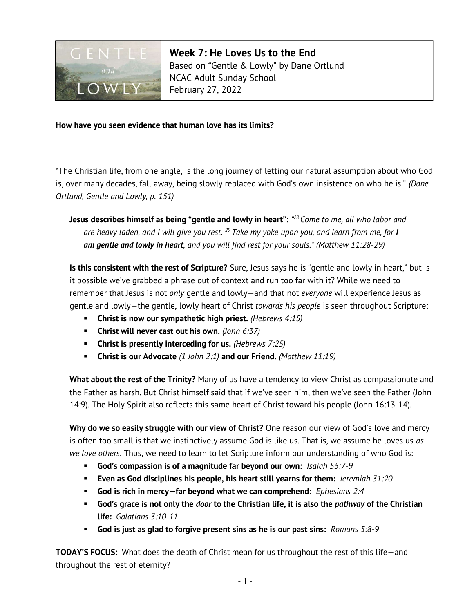

Week 7: He Loves Us to the End Based on "Gentle & Lowly" by Dane Ortlund NCAC Adult Sunday School February 27, 2022

## How have you seen evidence that human love has its limits?

"The Christian life, from one angle, is the long journey of letting our natural assumption about who God is, over many decades, fall away, being slowly replaced with God's own insistence on who he is." (Dane Ortlund, Gentle and Lowly, p. 151)

Jesus describes himself as being "gentle and lowly in heart": "<sup>28</sup> Come to me, all who labor and are heavy laden, and I will give you rest. <sup>29</sup> Take my yoke upon you, and learn from me, for I am gentle and lowly in heart, and you will find rest for your souls." (Matthew 11:28-29)

Is this consistent with the rest of Scripture? Sure, Jesus says he is "gentle and lowly in heart," but is it possible we've grabbed a phrase out of context and run too far with it? While we need to remember that Jesus is not only gentle and lowly-and that not everyone will experience Jesus as gentle and lowly-the gentle, lowly heart of Christ *towards his people* is seen throughout Scripture:

- **Christ is now our sympathetic high priest.** (Hebrews  $4:15$ )
- **Christ will never cast out his own.** (John 6:37)
- **Christ is presently interceding for us.** (Hebrews  $7:25$ )
- **Christ is our Advocate** (1 John 2:1) and our Friend. (Matthew 11:19)

What about the rest of the Trinity? Many of us have a tendency to view Christ as compassionate and the Father as harsh. But Christ himself said that if we've seen him, then we've seen the Father (John 14:9). The Holy Spirit also reflects this same heart of Christ toward his people (John 16:13-14).

Why do we so easily struggle with our view of Christ? One reason our view of God's love and mercy is often too small is that we instinctively assume God is like us. That is, we assume he loves us as we love others. Thus, we need to learn to let Scripture inform our understanding of who God is:

- God's compassion is of a magnitude far beyond our own: Isaiah 55:7-9
- **Even as God disciplines his people, his heart still yearns for them:** Jeremiah  $31:20$
- God is rich in mercy-far beyond what we can comprehend: Ephesians 2:4
- God's grace is not only the *door* to the Christian life, it is also the *pathway* of the Christian life: Galatians 3:10-11
- God is just as glad to forgive present sins as he is our past sins:  $\mathit{Romans}$  5:8-9

TODAY'S FOCUS: What does the death of Christ mean for us throughout the rest of this life—and throughout the rest of eternity?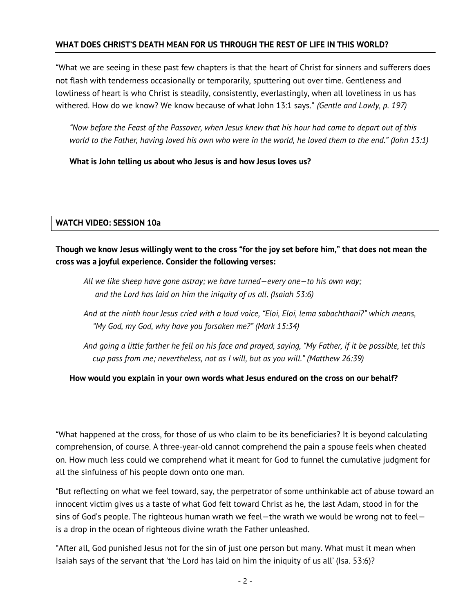# WHAT DOES CHRIST'S DEATH MEAN FOR US THROUGH THE REST OF LIFE IN THIS WORLD?

"What we are seeing in these past few chapters is that the heart of Christ for sinners and sufferers does not flash with tenderness occasionally or temporarily, sputtering out over time. Gentleness and lowliness of heart is who Christ is steadily, consistently, everlastingly, when all loveliness in us has withered. How do we know? We know because of what John 13:1 says." (Gentle and Lowly, p. 197)

"Now before the Feast of the Passover, when Jesus knew that his hour had come to depart out of this world to the Father, having loved his own who were in the world, he loved them to the end." (John 13:1)

What is John telling us about who Jesus is and how Jesus loves us?

### WATCH VIDEO: SESSION 10a

Though we know Jesus willingly went to the cross "for the joy set before him," that does not mean the cross was a joyful experience. Consider the following verses:

- All we like sheep have gone astray; we have turned—every one—to his own way; and the Lord has laid on him the iniquity of us all. (Isaiah 53:6)
- And at the ninth hour Jesus cried with a loud voice, "Eloi, Eloi, lema sabachthani?" which means, "My God, my God, why have you forsaken me?" (Mark 15:34)
- And going a little farther he fell on his face and prayed, saying, "My Father, if it be possible, let this cup pass from me; nevertheless, not as I will, but as you will." (Matthew 26:39)

### How would you explain in your own words what Jesus endured on the cross on our behalf?

"What happened at the cross, for those of us who claim to be its beneficiaries? It is beyond calculating comprehension, of course. A three-year-old cannot comprehend the pain a spouse feels when cheated on. How much less could we comprehend what it meant for God to funnel the cumulative judgment for all the sinfulness of his people down onto one man.

"But reflecting on what we feel toward, say, the perpetrator of some unthinkable act of abuse toward an innocent victim gives us a taste of what God felt toward Christ as he, the last Adam, stood in for the sins of God's people. The righteous human wrath we feel—the wrath we would be wrong not to feel is a drop in the ocean of righteous divine wrath the Father unleashed.

"After all, God punished Jesus not for the sin of just one person but many. What must it mean when Isaiah says of the servant that 'the Lord has laid on him the iniquity of us all' (Isa. 53:6)?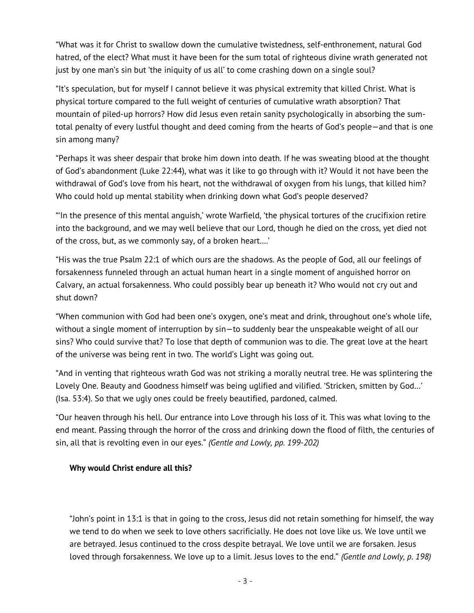"What was it for Christ to swallow down the cumulative twistedness, self-enthronement, natural God hatred, of the elect? What must it have been for the sum total of righteous divine wrath generated not just by one man's sin but 'the iniquity of us all' to come crashing down on a single soul?

"It's speculation, but for myself I cannot believe it was physical extremity that killed Christ. What is physical torture compared to the full weight of centuries of cumulative wrath absorption? That mountain of piled-up horrors? How did Jesus even retain sanity psychologically in absorbing the sumtotal penalty of every lustful thought and deed coming from the hearts of God's people—and that is one sin among many?

"Perhaps it was sheer despair that broke him down into death. If he was sweating blood at the thought of God's abandonment (Luke 22:44), what was it like to go through with it? Would it not have been the withdrawal of God's love from his heart, not the withdrawal of oxygen from his lungs, that killed him? Who could hold up mental stability when drinking down what God's people deserved?

"'In the presence of this mental anguish,' wrote Warfield, 'the physical tortures of the crucifixion retire into the background, and we may well believe that our Lord, though he died on the cross, yet died not of the cross, but, as we commonly say, of a broken heart….'

"His was the true Psalm 22:1 of which ours are the shadows. As the people of God, all our feelings of forsakenness funneled through an actual human heart in a single moment of anguished horror on Calvary, an actual forsakenness. Who could possibly bear up beneath it? Who would not cry out and shut down?

"When communion with God had been one's oxygen, one's meat and drink, throughout one's whole life, without a single moment of interruption by sin—to suddenly bear the unspeakable weight of all our sins? Who could survive that? To lose that depth of communion was to die. The great love at the heart of the universe was being rent in two. The world's Light was going out.

"And in venting that righteous wrath God was not striking a morally neutral tree. He was splintering the Lovely One. Beauty and Goodness himself was being uglified and vilified. 'Stricken, smitten by God…' (Isa. 53:4). So that we ugly ones could be freely beautified, pardoned, calmed.

"Our heaven through his hell. Our entrance into Love through his loss of it. This was what loving to the end meant. Passing through the horror of the cross and drinking down the flood of filth, the centuries of sin, all that is revolting even in our eyes." (Gentle and Lowly, pp. 199-202)

# Why would Christ endure all this?

"John's point in 13:1 is that in going to the cross, Jesus did not retain something for himself, the way we tend to do when we seek to love others sacrificially. He does not love like us. We love until we are betrayed. Jesus continued to the cross despite betrayal. We love until we are forsaken. Jesus loved through forsakenness. We love up to a limit. Jesus loves to the end." (Gentle and Lowly, p. 198)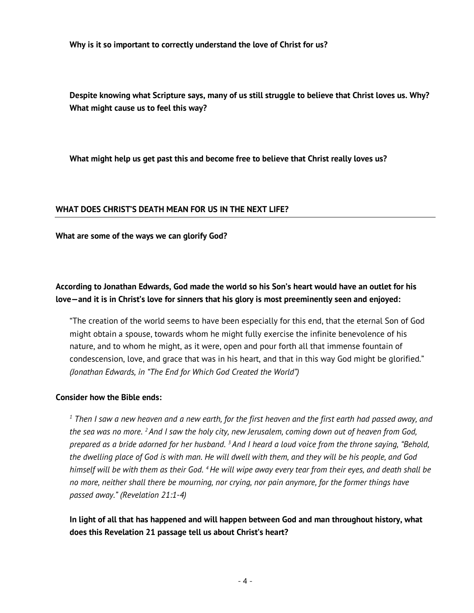Why is it so important to correctly understand the love of Christ for us?

Despite knowing what Scripture says, many of us still struggle to believe that Christ loves us. Why? What might cause us to feel this way?

What might help us get past this and become free to believe that Christ really loves us?

### WHAT DOES CHRIST'S DEATH MEAN FOR US IN THE NEXT LIFE?

What are some of the ways we can glorify God?

# According to Jonathan Edwards, God made the world so his Son's heart would have an outlet for his love—and it is in Christ's love for sinners that his glory is most preeminently seen and enjoyed:

"The creation of the world seems to have been especially for this end, that the eternal Son of God might obtain a spouse, towards whom he might fully exercise the infinite benevolence of his nature, and to whom he might, as it were, open and pour forth all that immense fountain of condescension, love, and grace that was in his heart, and that in this way God might be glorified." (Jonathan Edwards, in "The End for Which God Created the World")

### Consider how the Bible ends:

 $^{\text{\tiny{1}}}$  Then I saw a new heaven and a new earth, for the first heaven and the first earth had passed away, and the sea was no more. <sup>2</sup> And I saw the holy city, new Jerusalem, coming down out of heaven from God, prepared as a bride adorned for her husband. <sup>3</sup> And I heard a loud voice from the throne saying, "Behold, the dwelling place of God is with man. He will dwell with them, and they will be his people, and God himself will be with them as their God. <sup>4</sup> He will wipe away every tear from their eyes, and death shall be no more, neither shall there be mourning, nor crying, nor pain anymore, for the former things have passed away." (Revelation 21:1-4)

In light of all that has happened and will happen between God and man throughout history, what does this Revelation 21 passage tell us about Christ's heart?